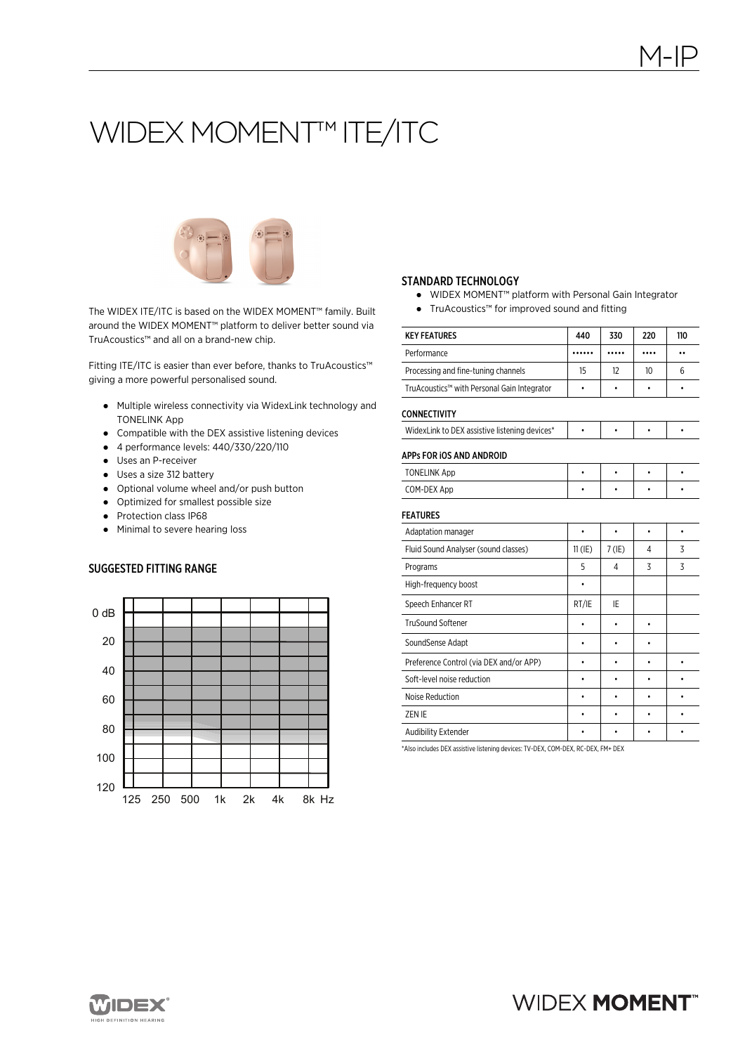# WIDEX MOMENT™ ITE/ITC



The WIDEX ITE/ITC is based on the WIDEX MOMENT™ family. Built around the WIDEX MOMENT™ platform to deliver better sound via TruAcoustics™ and all on a brand-new chip.

Fitting ITE/ITC is easier than ever before, thanks to TruAcoustics™ giving a more powerful personalised sound.

- Multiple wireless connectivity via WidexLink technology and TONELINK App
- Compatible with the DEX assistive listening devices
- 4 performance levels: 440/330/220/110
- Uses an P-receiver
- Uses a size 312 battery
- Optional volume wheel and/or push button
- Optimized for smallest possible size
- Protection class IP68
- Minimal to severe hearing loss

## SUGGESTED FITTING RANGE



#### STANDARD TECHNOLOGY

- WIDEX MOMENT™ platform with Personal Gain Integrator
- TruAcoustics™ for improved sound and fitting

| <b>KEY FEATURES</b>                           | 440       | 330       | 220       | 110                  |
|-----------------------------------------------|-----------|-----------|-----------|----------------------|
| Performance                                   |           |           |           | $\ddot{\phantom{0}}$ |
| Processing and fine-tuning channels           | 15        | 12        | 10        | 6                    |
| TruAcoustics™ with Personal Gain Integrator   |           |           |           | ٠                    |
| <b>CONNECTIVITY</b>                           |           |           |           |                      |
| WidexLink to DEX assistive listening devices* | ۰         | $\bullet$ | $\bullet$ | ۰                    |
| APPs FOR IOS AND ANDROID                      |           |           |           |                      |
| <b>TONELINK App</b>                           | $\bullet$ | $\bullet$ | $\bullet$ | $\bullet$            |
| COM-DEX App                                   |           |           |           |                      |
| <b>FEATURES</b>                               |           |           |           |                      |
| Adaptation manager                            | $\bullet$ | $\bullet$ | $\bullet$ |                      |
| Fluid Sound Analyser (sound classes)          | $11$ (IE) | $7$ (IE)  | 4         | 3                    |
| Programs                                      | 5         | 4         | 3         | 3                    |
| High-frequency boost                          | ٠         |           |           |                      |
| Speech Enhancer RT                            | RT/IE     | IE        |           |                      |
| <b>TruSound Softener</b>                      |           |           | ۰         |                      |
| SoundSense Adapt                              |           |           | ٠         |                      |
| Preference Control (via DEX and/or APP)       |           |           |           | ۰                    |
| Soft-level noise reduction                    |           |           |           | ٠                    |
| Noise Reduction                               |           |           |           |                      |
| ZEN IE                                        |           |           | ٠         | ٠                    |
| <b>Audibility Extender</b>                    |           |           |           |                      |

\*Also includes DEX assistive listening devices: TV-DEX, COM-DEX, RC-DEX, FM+ DEX